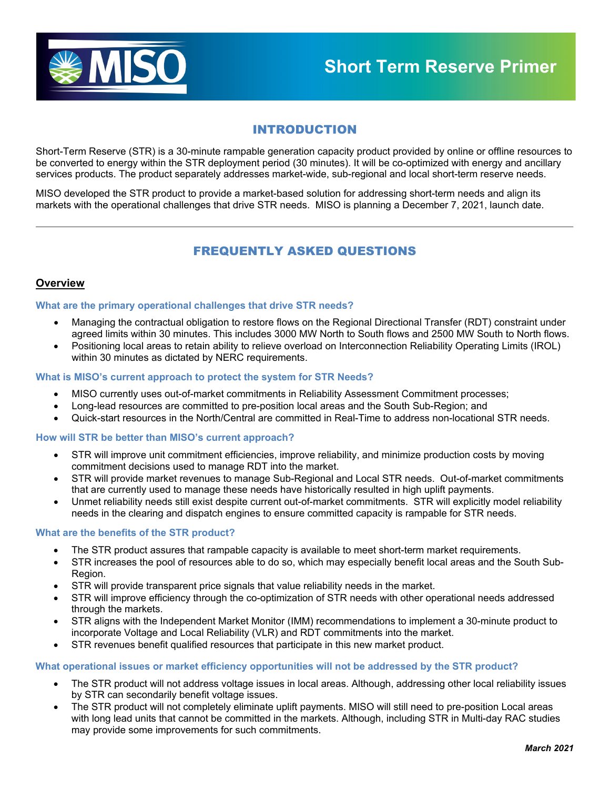

# INTRODUCTION

Short-Term Reserve (STR) is a 30-minute rampable generation capacity product provided by online or offline resources to be converted to energy within the STR deployment period (30 minutes). It will be co-optimized with energy and ancillary services products. The product separately addresses market-wide, sub-regional and local short-term reserve needs.

MISO developed the STR product to provide a market-based solution for addressing short-term needs and align its markets with the operational challenges that drive STR needs. MISO is planning a December 7, 2021, launch date.

# FREQUENTLY ASKED QUESTIONS

# **Overview**

## **What are the primary operational challenges that drive STR needs?**

- Managing the contractual obligation to restore flows on the Regional Directional Transfer (RDT) constraint under agreed limits within 30 minutes. This includes 3000 MW North to South flows and 2500 MW South to North flows.
- Positioning local areas to retain ability to relieve overload on Interconnection Reliability Operating Limits (IROL) within 30 minutes as dictated by NERC requirements.

## **What is MISO's current approach to protect the system for STR Needs?**

- MISO currently uses out-of-market commitments in Reliability Assessment Commitment processes;
- Long-lead resources are committed to pre-position local areas and the South Sub-Region; and
- Quick-start resources in the North/Central are committed in Real-Time to address non-locational STR needs.

## **How will STR be better than MISO's current approach?**

- STR will improve unit commitment efficiencies, improve reliability, and minimize production costs by moving commitment decisions used to manage RDT into the market.
- STR will provide market revenues to manage Sub-Regional and Local STR needs. Out-of-market commitments that are currently used to manage these needs have historically resulted in high uplift payments.
- Unmet reliability needs still exist despite current out-of-market commitments. STR will explicitly model reliability needs in the clearing and dispatch engines to ensure committed capacity is rampable for STR needs.

## **What are the benefits of the STR product?**

- The STR product assures that rampable capacity is available to meet short-term market requirements.
- STR increases the pool of resources able to do so, which may especially benefit local areas and the South Sub-Region.
- STR will provide transparent price signals that value reliability needs in the market.
- STR will improve efficiency through the co-optimization of STR needs with other operational needs addressed through the markets.
- STR aligns with the Independent Market Monitor (IMM) recommendations to implement a 30-minute product to incorporate Voltage and Local Reliability (VLR) and RDT commitments into the market.
- STR revenues benefit qualified resources that participate in this new market product.

## **What operational issues or market efficiency opportunities will not be addressed by the STR product?**

- The STR product will not address voltage issues in local areas. Although, addressing other local reliability issues by STR can secondarily benefit voltage issues.
- The STR product will not completely eliminate uplift payments. MISO will still need to pre-position Local areas with long lead units that cannot be committed in the markets. Although, including STR in Multi-day RAC studies may provide some improvements for such commitments.